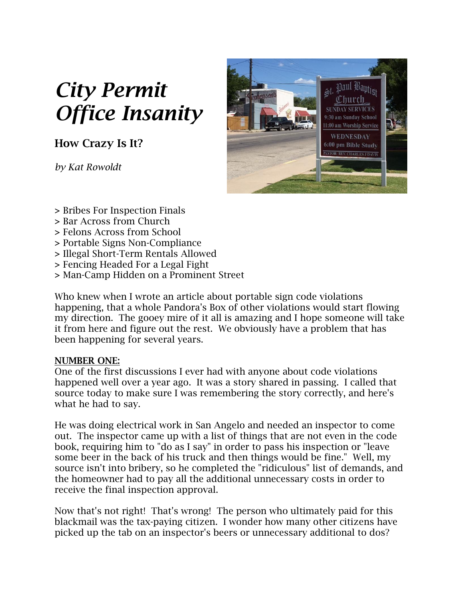# *City Permit Office Insanity*

**How Crazy Is It?**

*by Kat Rowoldt*



- **>** Bribes For Inspection Finals
- **>** Bar Across from Church
- **>** Felons Across from School
- **>** Portable Signs Non-Compliance
- **>** Illegal Short-Term Rentals Allowed
- **>** Fencing Headed For a Legal Fight
- **>** Man-Camp Hidden on a Prominent Street

Who knew when I wrote an article about portable sign code violations happening, that a whole Pandora's Box of other violations would start flowing my direction. The gooey mire of it all is amazing and I hope someone will take it from here and figure out the rest. We obviously have a problem that has been happening for several years.

# **NUMBER ONE:**

One of the first discussions I ever had with anyone about code violations happened well over a year ago. It was a story shared in passing. I called that source today to make sure I was remembering the story correctly, and here's what he had to say.

He was doing electrical work in San Angelo and needed an inspector to come out. The inspector came up with a list of things that are not even in the code book, requiring him to "do as I say" in order to pass his inspection or "leave some beer in the back of his truck and then things would be fine." Well, my source isn't into bribery, so he completed the "ridiculous" list of demands, and the homeowner had to pay all the additional unnecessary costs in order to receive the final inspection approval.

Now that's not right! That's wrong! The person who ultimately paid for this blackmail was the tax-paying citizen. I wonder how many other citizens have picked up the tab on an inspector's beers or unnecessary additional to dos?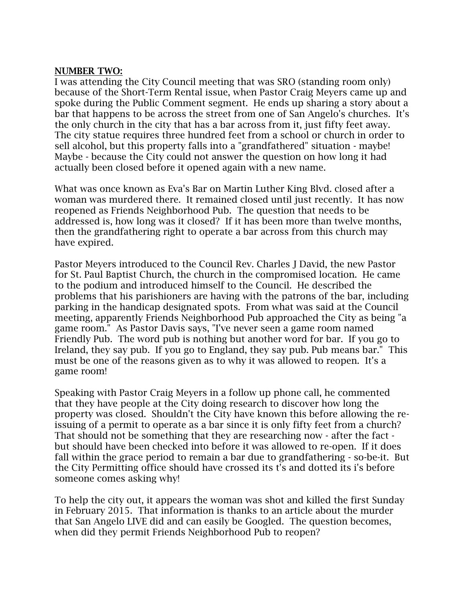#### **NUMBER TWO:**

I was attending the City Council meeting that was SRO (standing room only) because of the Short-Term Rental issue, when Pastor Craig Meyers came up and spoke during the Public Comment segment. He ends up sharing a story about a bar that happens to be across the street from one of San Angelo's churches. It's the only church in the city that has a bar across from it, just fifty feet away. The city statue requires three hundred feet from a school or church in order to sell alcohol, but this property falls into a "grandfathered" situation - maybe! Maybe - because the City could not answer the question on how long it had actually been closed before it opened again with a new name.

What was once known as Eva's Bar on Martin Luther King Blvd. closed after a woman was murdered there. It remained closed until just recently. It has now reopened as Friends Neighborhood Pub. The question that needs to be addressed is, how long was it closed? If it has been more than twelve months, then the grandfathering right to operate a bar across from this church may have expired.

Pastor Meyers introduced to the Council Rev. Charles J David, the new Pastor for St. Paul Baptist Church, the church in the compromised location. He came to the podium and introduced himself to the Council. He described the problems that his parishioners are having with the patrons of the bar, including parking in the handicap designated spots. From what was said at the Council meeting, apparently Friends Neighborhood Pub approached the City as being "a game room." As Pastor Davis says, "I've never seen a game room named Friendly Pub. The word pub is nothing but another word for bar. If you go to Ireland, they say pub. If you go to England, they say pub. Pub means bar." This must be one of the reasons given as to why it was allowed to reopen. It's a game room!

Speaking with Pastor Craig Meyers in a follow up phone call, he commented that they have people at the City doing research to discover how long the property was closed. Shouldn't the City have known this before allowing the reissuing of a permit to operate as a bar since it is only fifty feet from a church? That should not be something that they are researching now - after the fact but should have been checked into before it was allowed to re-open. If it does fall within the grace period to remain a bar due to grandfathering - so-be-it. But the City Permitting office should have crossed its t's and dotted its i's before someone comes asking why!

To help the city out, it appears the woman was shot and killed the first Sunday in February 2015. That information is thanks to an article about the murder that San Angelo LIVE did and can easily be Googled. The question becomes, when did they permit Friends Neighborhood Pub to reopen?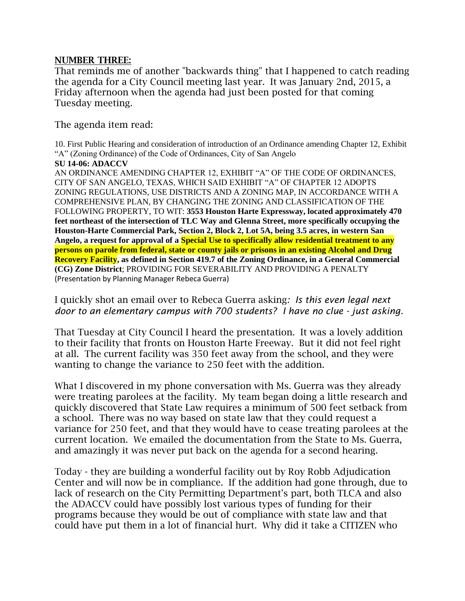#### **NUMBER THREE:**

That reminds me of another "backwards thing" that I happened to catch reading the agenda for a City Council meeting last year. It was January 2nd, 2015, a Friday afternoon when the agenda had just been posted for that coming Tuesday meeting.

The agenda item read:

10. First Public Hearing and consideration of introduction of an Ordinance amending Chapter 12, Exhibit "A" (Zoning Ordinance) of the Code of Ordinances, City of San Angelo

#### **SU 14-06: ADACCV**

AN ORDINANCE AMENDING CHAPTER 12, EXHIBIT "A" OF THE CODE OF ORDINANCES, CITY OF SAN ANGELO, TEXAS, WHICH SAID EXHIBIT "A" OF CHAPTER 12 ADOPTS ZONING REGULATIONS, USE DISTRICTS AND A ZONING MAP, IN ACCORDANCE WITH A COMPREHENSIVE PLAN, BY CHANGING THE ZONING AND CLASSIFICATION OF THE FOLLOWING PROPERTY, TO WIT: **3553 Houston Harte Expressway, located approximately 470 feet northeast of the intersection of TLC Way and Glenna Street, more specifically occupying the Houston-Harte Commercial Park, Section 2, Block 2, Lot 5A, being 3.5 acres, in western San Angelo, a request for approval of a Special Use to specifically allow residential treatment to any persons on parole from federal, state or county jails or prisons in an existing Alcohol and Drug Recovery Facility, as defined in Section 419.7 of the Zoning Ordinance, in a General Commercial (CG) Zone District**; PROVIDING FOR SEVERABILITY AND PROVIDING A PENALTY (Presentation by Planning Manager Rebeca Guerra)

### I quickly shot an email over to Rebeca Guerra asking*: Is this even legal next door to an elementary campus with 700 students? I have no clue - just asking.*

That Tuesday at City Council I heard the presentation. It was a lovely addition to their facility that fronts on Houston Harte Freeway. But it did not feel right at all. The current facility was 350 feet away from the school, and they were wanting to change the variance to 250 feet with the addition.

What I discovered in my phone conversation with Ms. Guerra was they already were treating parolees at the facility. My team began doing a little research and quickly discovered that State Law requires a minimum of 500 feet setback from a school. There was no way based on state law that they could request a variance for 250 feet, and that they would have to cease treating parolees at the current location. We emailed the documentation from the State to Ms. Guerra, and amazingly it was never put back on the agenda for a second hearing.

Today - they are building a wonderful facility out by Roy Robb Adjudication Center and will now be in compliance. If the addition had gone through, due to lack of research on the City Permitting Department's part, both TLCA and also the ADACCV could have possibly lost various types of funding for their programs because they would be out of compliance with state law and that could have put them in a lot of financial hurt. Why did it take a CITIZEN who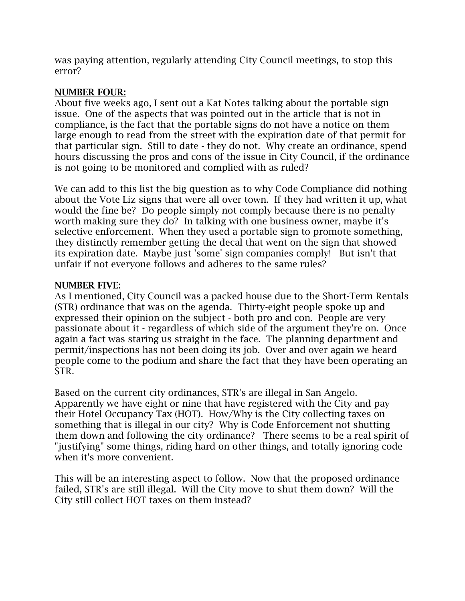was paying attention, regularly attending City Council meetings, to stop this error?

## **NUMBER FOUR:**

About five weeks ago, I sent out a Kat Notes talking about the portable sign issue. One of the aspects that was pointed out in the article that is not in compliance, is the fact that the portable signs do not have a notice on them large enough to read from the street with the expiration date of that permit for that particular sign. Still to date - they do not. Why create an ordinance, spend hours discussing the pros and cons of the issue in City Council, if the ordinance is not going to be monitored and complied with as ruled?

We can add to this list the big question as to why Code Compliance did nothing about the Vote Liz signs that were all over town. If they had written it up, what would the fine be? Do people simply not comply because there is no penalty worth making sure they do? In talking with one business owner, maybe it's selective enforcement. When they used a portable sign to promote something, they distinctly remember getting the decal that went on the sign that showed its expiration date. Maybe just 'some' sign companies comply! But isn't that unfair if not everyone follows and adheres to the same rules?

# **NUMBER FIVE:**

As I mentioned, City Council was a packed house due to the Short-Term Rentals (STR) ordinance that was on the agenda. Thirty-eight people spoke up and expressed their opinion on the subject - both pro and con. People are very passionate about it - regardless of which side of the argument they're on. Once again a fact was staring us straight in the face. The planning department and permit/inspections has not been doing its job. Over and over again we heard people come to the podium and share the fact that they have been operating an STR.

Based on the current city ordinances, STR's are illegal in San Angelo. Apparently we have eight or nine that have registered with the City and pay their Hotel Occupancy Tax (HOT). How/Why is the City collecting taxes on something that is illegal in our city? Why is Code Enforcement not shutting them down and following the city ordinance? There seems to be a real spirit of "justifying" some things, riding hard on other things, and totally ignoring code when it's more convenient.

This will be an interesting aspect to follow. Now that the proposed ordinance failed, STR's are still illegal. Will the City move to shut them down? Will the City still collect HOT taxes on them instead?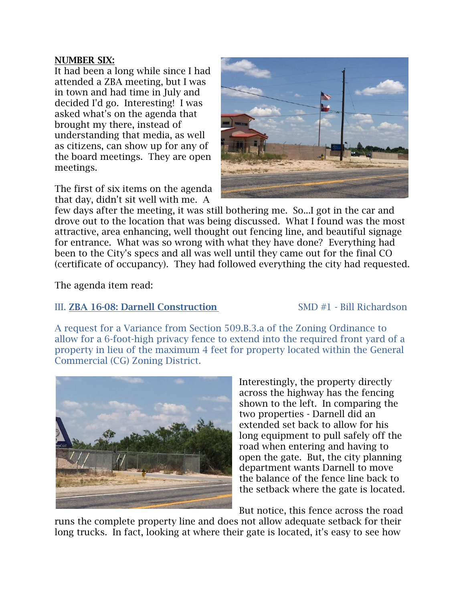#### **NUMBER SIX:**

It had been a long while since I had attended a ZBA meeting, but I was in town and had time in July and decided I'd go. Interesting! I was asked what's on the agenda that brought my there, instead of understanding that media, as well as citizens, can show up for any of the board meetings. They are open meetings.

The first of six items on the agenda that day, didn't sit well with me. A



few days after the meeting, it was still bothering me. So...I got in the car and drove out to the location that was being discussed. What I found was the most attractive, area enhancing, well thought out fencing line, and beautiful signage for entrance. What was so wrong with what they have done? Everything had been to the City's specs and all was well until they came out for the final CO (certificate of occupancy). They had followed everything the city had requested.

The agenda item read:

# III. **ZBA 16-08: Darnell Construction** SMD #1 - Bill Richardson

A request for a Variance from Section 509.B.3.a of the Zoning Ordinance to allow for a 6-foot-high privacy fence to extend into the required front yard of a property in lieu of the maximum 4 feet for property located within the General Commercial (CG) Zoning District.



Interestingly, the property directly across the highway has the fencing shown to the left. In comparing the two properties - Darnell did an extended set back to allow for his long equipment to pull safely off the road when entering and having to open the gate. But, the city planning department wants Darnell to move the balance of the fence line back to the setback where the gate is located.

But notice, this fence across the road

runs the complete property line and does not allow adequate setback for their long trucks. In fact, looking at where their gate is located, it's easy to see how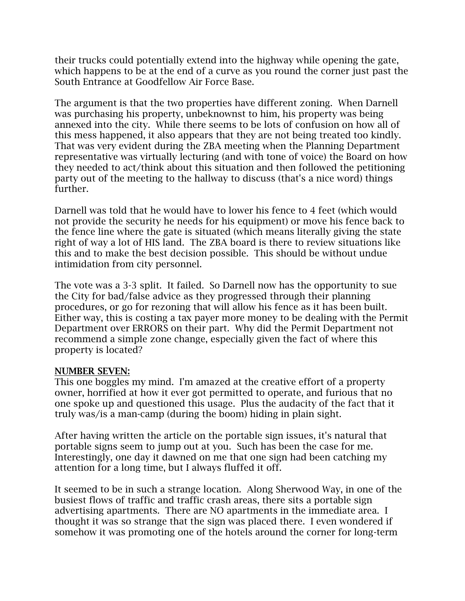their trucks could potentially extend into the highway while opening the gate, which happens to be at the end of a curve as you round the corner just past the South Entrance at Goodfellow Air Force Base.

The argument is that the two properties have different zoning. When Darnell was purchasing his property, unbeknownst to him, his property was being annexed into the city. While there seems to be lots of confusion on how all of this mess happened, it also appears that they are not being treated too kindly. That was very evident during the ZBA meeting when the Planning Department representative was virtually lecturing (and with tone of voice) the Board on how they needed to act/think about this situation and then followed the petitioning party out of the meeting to the hallway to discuss (that's a nice word) things further.

Darnell was told that he would have to lower his fence to 4 feet (which would not provide the security he needs for his equipment) or move his fence back to the fence line where the gate is situated (which means literally giving the state right of way a lot of HIS land. The ZBA board is there to review situations like this and to make the best decision possible. This should be without undue intimidation from city personnel.

The vote was a 3-3 split. It failed. So Darnell now has the opportunity to sue the City for bad/false advice as they progressed through their planning procedures, or go for rezoning that will allow his fence as it has been built. Either way, this is costing a tax payer more money to be dealing with the Permit Department over ERRORS on their part. Why did the Permit Department not recommend a simple zone change, especially given the fact of where this property is located?

### **NUMBER SEVEN:**

This one boggles my mind. I'm amazed at the creative effort of a property owner, horrified at how it ever got permitted to operate, and furious that no one spoke up and questioned this usage. Plus the audacity of the fact that it truly was/is a man-camp (during the boom) hiding in plain sight.

After having written the article on the portable sign issues, it's natural that portable signs seem to jump out at you. Such has been the case for me. Interestingly, one day it dawned on me that one sign had been catching my attention for a long time, but I always fluffed it off.

It seemed to be in such a strange location. Along Sherwood Way, in one of the busiest flows of traffic and traffic crash areas, there sits a portable sign advertising apartments. There are NO apartments in the immediate area. I thought it was so strange that the sign was placed there. I even wondered if somehow it was promoting one of the hotels around the corner for long-term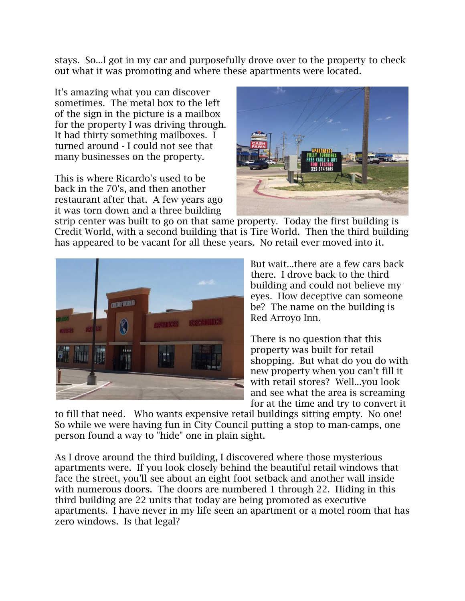stays. So...I got in my car and purposefully drove over to the property to check out what it was promoting and where these apartments were located.

It's amazing what you can discover sometimes. The metal box to the left of the sign in the picture is a mailbox for the property I was driving through. It had thirty something mailboxes. I turned around - I could not see that many businesses on the property.

This is where Ricardo's used to be back in the 70's, and then another restaurant after that. A few years ago it was torn down and a three building



strip center was built to go on that same property. Today the first building is Credit World, with a second building that is Tire World. Then the third building has appeared to be vacant for all these years. No retail ever moved into it.



But wait...there are a few cars back there. I drove back to the third building and could not believe my eyes. How deceptive can someone be? The name on the building is Red Arroyo Inn.

There is no question that this property was built for retail shopping. But what do you do with new property when you can't fill it with retail stores? Well...you look and see what the area is screaming for at the time and try to convert it

to fill that need. Who wants expensive retail buildings sitting empty. No one! So while we were having fun in City Council putting a stop to man-camps, one person found a way to "hide" one in plain sight.

As I drove around the third building, I discovered where those mysterious apartments were. If you look closely behind the beautiful retail windows that face the street, you'll see about an eight foot setback and another wall inside with numerous doors. The doors are numbered 1 through 22. Hiding in this third building are 22 units that today are being promoted as executive apartments. I have never in my life seen an apartment or a motel room that has zero windows. Is that legal?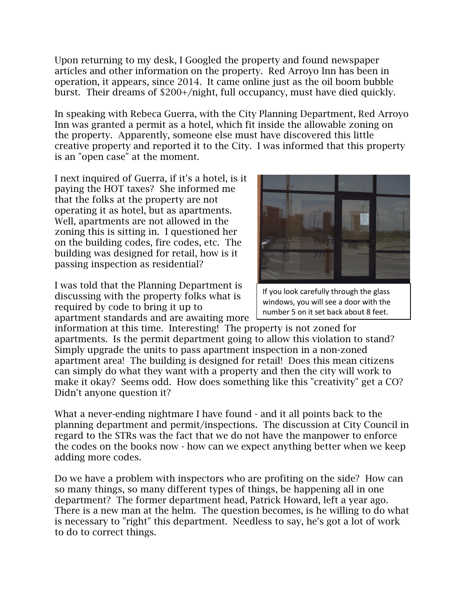Upon returning to my desk, I Googled the property and found newspaper articles and other information on the property. Red Arroyo Inn has been in operation, it appears, since 2014. It came online just as the oil boom bubble burst. Their dreams of \$200+/night, full occupancy, must have died quickly.

In speaking with Rebeca Guerra, with the City Planning Department, Red Arroyo Inn was granted a permit as a hotel, which fit inside the allowable zoning on the property. Apparently, someone else must have discovered this little creative property and reported it to the City. I was informed that this property is an "open case" at the moment.

I next inquired of Guerra, if it's a hotel, is it paying the HOT taxes? She informed me that the folks at the property are not operating it as hotel, but as apartments. Well, apartments are not allowed in the zoning this is sitting in. I questioned her on the building codes, fire codes, etc. The building was designed for retail, how is it passing inspection as residential?

I was told that the Planning Department is discussing with the property folks what is required by code to bring it up to apartment standards and are awaiting more



If you look carefully through the glass windows, you will see a door with the number 5 on it set back about 8 feet.

information at this time. Interesting! The property is not zoned for apartments. Is the permit department going to allow this violation to stand? Simply upgrade the units to pass apartment inspection in a non-zoned apartment area! The building is designed for retail! Does this mean citizens can simply do what they want with a property and then the city will work to make it okay? Seems odd. How does something like this "creativity" get a CO? Didn't anyone question it?

What a never-ending nightmare I have found - and it all points back to the planning department and permit/inspections. The discussion at City Council in regard to the STRs was the fact that we do not have the manpower to enforce the codes on the books now - how can we expect anything better when we keep adding more codes.

Do we have a problem with inspectors who are profiting on the side? How can so many things, so many different types of things, be happening all in one department? The former department head, Patrick Howard, left a year ago. There is a new man at the helm. The question becomes, is he willing to do what is necessary to "right" this department. Needless to say, he's got a lot of work to do to correct things.